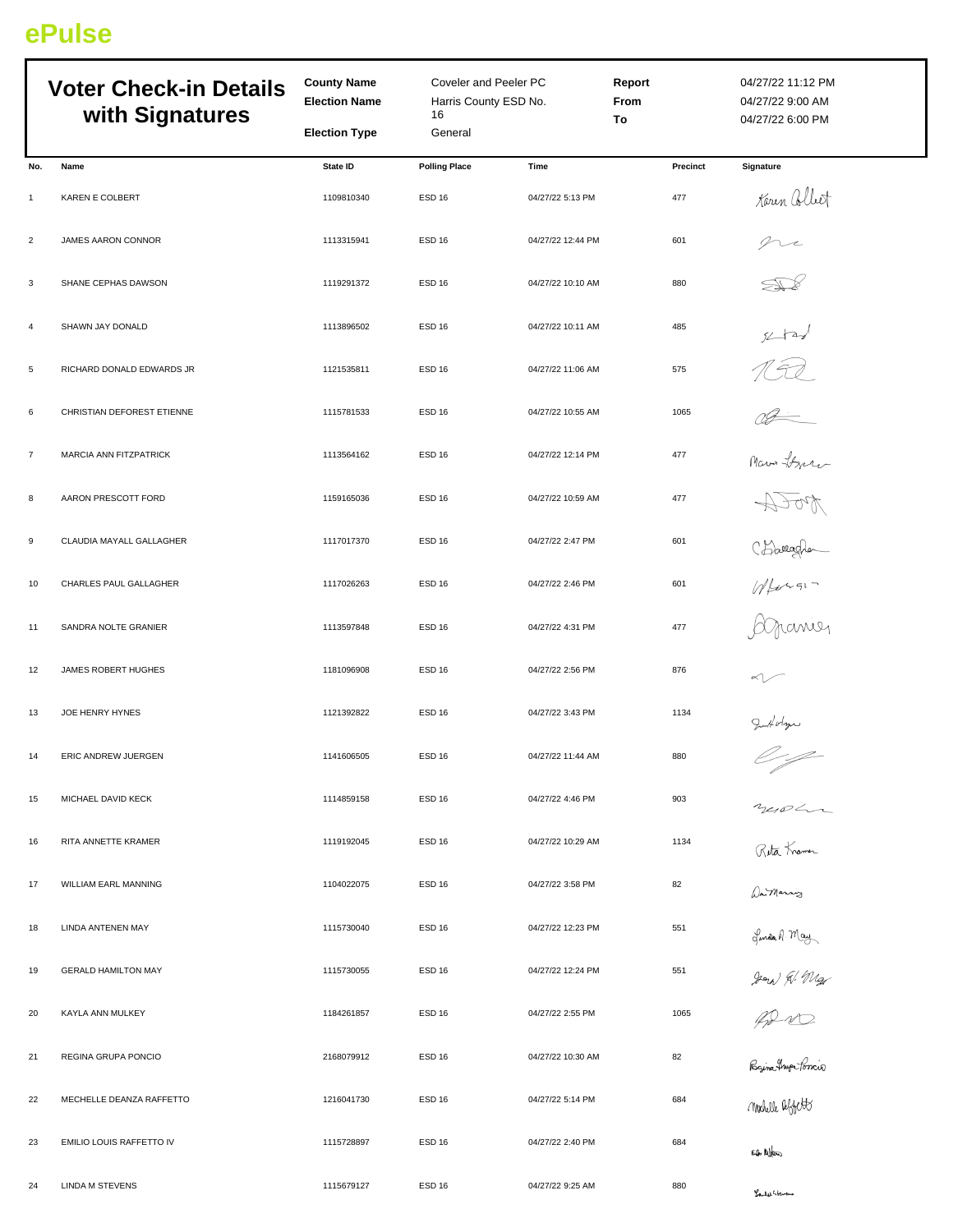## **ePulse**

|                 | <b>Voter Check-in Details</b><br>with Signatures | <b>County Name</b><br><b>Election Name</b> | Coveler and Peeler PC<br>Harris County ESD No.<br>16<br>General |                   | <b>Report</b><br>From<br>To | 04/27/22 11:12 PM<br>04/27/22 9:00 AM<br>04/27/22 6:00 PM                            |
|-----------------|--------------------------------------------------|--------------------------------------------|-----------------------------------------------------------------|-------------------|-----------------------------|--------------------------------------------------------------------------------------|
|                 |                                                  | <b>Election Type</b>                       |                                                                 |                   |                             |                                                                                      |
| No.             | Name                                             | <b>State ID</b>                            | <b>Polling Place</b>                                            | Time              | Precinct                    | Signature                                                                            |
| $\mathbf{1}$    | KAREN E COLBERT                                  | 1109810340                                 | <b>ESD 16</b>                                                   | 04/27/22 5:13 PM  | 477                         | Karen Collect                                                                        |
| $\overline{c}$  | JAMES AARON CONNOR                               | 1113315941                                 | <b>ESD 16</b>                                                   | 04/27/22 12:44 PM | 601                         | ni                                                                                   |
| 3               | SHANE CEPHAS DAWSON                              | 1119291372                                 | <b>ESD 16</b>                                                   | 04/27/22 10:10 AM | 880                         |                                                                                      |
| $\overline{4}$  | SHAWN JAY DONALD                                 | 1113896502                                 | ESD <sub>16</sub>                                               | 04/27/22 10:11 AM | 485                         | $x + y$                                                                              |
| $5\phantom{.0}$ | RICHARD DONALD EDWARDS JR                        | 1121535811                                 | ESD <sub>16</sub>                                               | 04/27/22 11:06 AM | 575                         |                                                                                      |
| 6               | CHRISTIAN DEFOREST ETIENNE                       | 1115781533                                 | <b>ESD 16</b>                                                   | 04/27/22 10:55 AM | 1065                        | TER<br>Com there                                                                     |
| $\overline{7}$  | MARCIA ANN FITZPATRICK                           | 1113564162                                 | <b>ESD 16</b>                                                   | 04/27/22 12:14 PM | 477                         |                                                                                      |
| 8               | AARON PRESCOTT FORD                              | 1159165036                                 | <b>ESD 16</b>                                                   | 04/27/22 10:59 AM | 477                         |                                                                                      |
| 9               | CLAUDIA MAYALL GALLAGHER                         | 1117017370                                 | <b>ESD 16</b>                                                   | 04/27/22 2:47 PM  | 601                         |                                                                                      |
| 10              | CHARLES PAUL GALLAGHER                           | 1117026263                                 | ESD <sub>16</sub>                                               | 04/27/22 2:46 PM  | 601                         |                                                                                      |
| 11              | SANDRA NOLTE GRANIER                             | 1113597848                                 | <b>ESD 16</b>                                                   | 04/27/22 4:31 PM  | 477                         |                                                                                      |
| 12              | JAMES ROBERT HUGHES                              | 1181096908                                 | <b>ESD 16</b>                                                   | 04/27/22 2:56 PM  | 876                         |                                                                                      |
| 13              | JOE HENRY HYNES                                  | 1121392822                                 | <b>ESD 16</b>                                                   | 04/27/22 3:43 PM  | 1134                        |                                                                                      |
| 14              | ERIC ANDREW JUERGEN                              | 1141606505                                 | ESD <sub>16</sub>                                               | 04/27/22 11:44 AM | 880                         | Infoltion                                                                            |
| 15              | MICHAEL DAVID KECK                               | 1114859158                                 | <b>ESD 16</b>                                                   | 04/27/22 4:46 PM  | 903                         |                                                                                      |
| 16              | RITA ANNETTE KRAMER                              | 1119192045                                 | <b>ESD 16</b>                                                   | 04/27/22 10:29 AM | 1134                        | nerolan<br>Rita Krama<br>Da Marrig                                                   |
| 17              | WILLIAM EARL MANNING                             | 1104022075                                 | <b>ESD 16</b>                                                   | 04/27/22 3:58 PM  | 82                          |                                                                                      |
| 18              | LINDA ANTENEN MAY                                | 1115730040                                 | <b>ESD 16</b>                                                   | 04/27/22 12:23 PM | 551                         |                                                                                      |
| 19              | <b>GERALD HAMILTON MAY</b>                       | 1115730055                                 | ESD <sub>16</sub>                                               | 04/27/22 12:24 PM | 551                         |                                                                                      |
| 20              | KAYLA ANN MULKEY                                 | 1184261857                                 | <b>ESD 16</b>                                                   | 04/27/22 2:55 PM  | 1065                        |                                                                                      |
| 21              | REGINA GRUPA PONCIO                              | 2168079912                                 | ESD <sub>16</sub>                                               | 04/27/22 10:30 AM | 82                          | Jonda A. May<br>2000 R. Mg<br>Raina Hup Joncio<br>Raina Hup Joncio<br>Mobille Uffitt |
| 22              | MECHELLE DEANZA RAFFETTO                         | 1216041730                                 | <b>ESD 16</b>                                                   | 04/27/22 5:14 PM  | 684                         |                                                                                      |
| 23              | EMILIO LOUIS RAFFETTO IV                         | 1115728897                                 | <b>ESD 16</b>                                                   | 04/27/22 2:40 PM  | 684                         | Eq. Allen                                                                            |
| 24              | LINDA M STEVENS                                  | 1115679127                                 | ESD <sub>16</sub>                                               | 04/27/22 9:25 AM  | 880                         | Louder Stevens                                                                       |